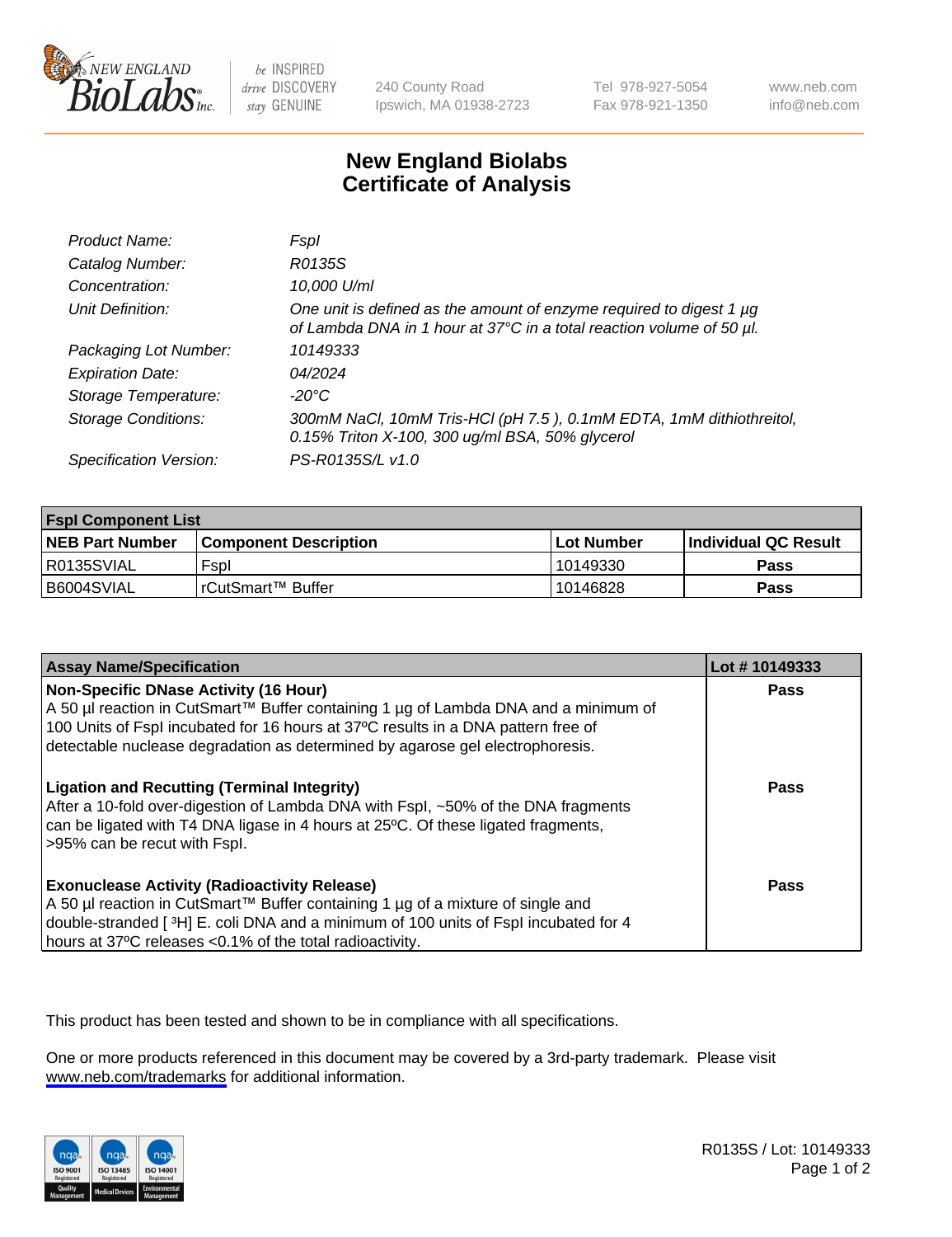

be INSPIRED drive DISCOVERY stay GENUINE

240 County Road Ipswich, MA 01938-2723 Tel 978-927-5054 Fax 978-921-1350

www.neb.com info@neb.com

## **New England Biolabs Certificate of Analysis**

| Product Name:              | Fspl                                                                                                                                        |
|----------------------------|---------------------------------------------------------------------------------------------------------------------------------------------|
| Catalog Number:            | R0135S                                                                                                                                      |
| Concentration:             | 10,000 U/ml                                                                                                                                 |
| Unit Definition:           | One unit is defined as the amount of enzyme required to digest 1 µg<br>of Lambda DNA in 1 hour at 37°C in a total reaction volume of 50 µl. |
| Packaging Lot Number:      | 10149333                                                                                                                                    |
| <b>Expiration Date:</b>    | 04/2024                                                                                                                                     |
| Storage Temperature:       | $-20^{\circ}$ C                                                                                                                             |
| <b>Storage Conditions:</b> | 300mM NaCl, 10mM Tris-HCl (pH 7.5), 0.1mM EDTA, 1mM dithiothreitol,<br>0.15% Triton X-100, 300 ug/ml BSA, 50% glycerol                      |
| Specification Version:     | PS-R0135S/L v1.0                                                                                                                            |

| <b>Fspl Component List</b> |                              |                   |                             |  |
|----------------------------|------------------------------|-------------------|-----------------------------|--|
| <b>NEB Part Number</b>     | <b>Component Description</b> | <b>Lot Number</b> | <b>Individual QC Result</b> |  |
| R0135SVIAL                 | Fspl                         | 10149330          | Pass                        |  |
| B6004SVIAL                 | l rCutSmart™ Buffer          | 10146828          | Pass                        |  |

| <b>Assay Name/Specification</b>                                                                                                                                                                                                                                                                           | Lot #10149333 |
|-----------------------------------------------------------------------------------------------------------------------------------------------------------------------------------------------------------------------------------------------------------------------------------------------------------|---------------|
| <b>Non-Specific DNase Activity (16 Hour)</b><br>A 50 µl reaction in CutSmart™ Buffer containing 1 µg of Lambda DNA and a minimum of<br>100 Units of Fspl incubated for 16 hours at 37°C results in a DNA pattern free of<br>detectable nuclease degradation as determined by agarose gel electrophoresis. | Pass          |
| <b>Ligation and Recutting (Terminal Integrity)</b><br>After a 10-fold over-digestion of Lambda DNA with Fspl, ~50% of the DNA fragments<br>can be ligated with T4 DNA ligase in 4 hours at 25°C. Of these ligated fragments,<br>>95% can be recut with Fspl.                                              | Pass          |
| <b>Exonuclease Activity (Radioactivity Release)</b><br>  A 50 µl reaction in CutSmart™ Buffer containing 1 µg of a mixture of single and<br>double-stranded [3H] E. coli DNA and a minimum of 100 units of Fspl incubated for 4<br>hours at 37°C releases <0.1% of the total radioactivity.               | Pass          |

This product has been tested and shown to be in compliance with all specifications.

One or more products referenced in this document may be covered by a 3rd-party trademark. Please visit <www.neb.com/trademarks>for additional information.